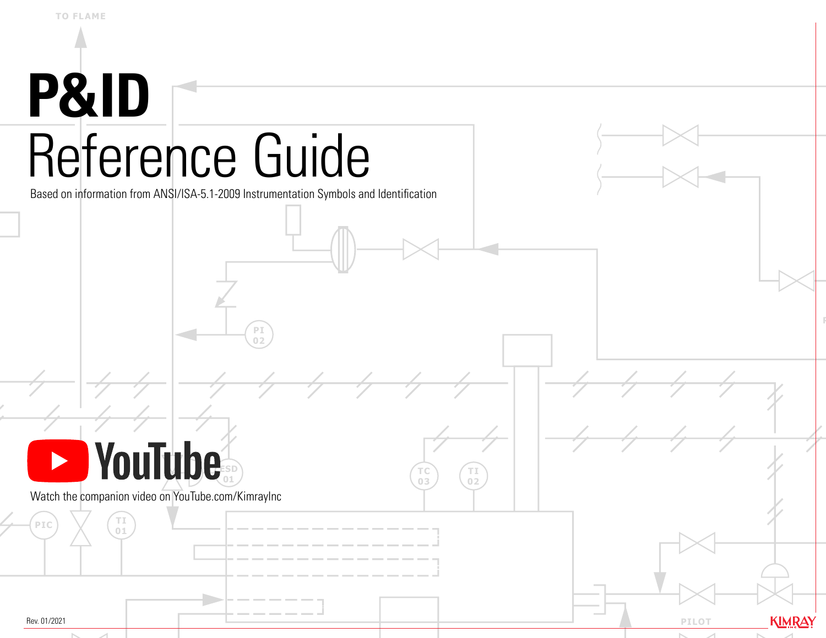# **P&ID** Reference Guide

Based on information from ANSI/ISA-5.1-2009 Instrumentation Symbols and Identification

**PI 02**



**TI**

Watch the companion video on YouTube.com/KimrayInc

Rev. 01/2021

PIC)  $\times$  (o1

**KIMRAY PILOT**

**TI 02**

**TC 03**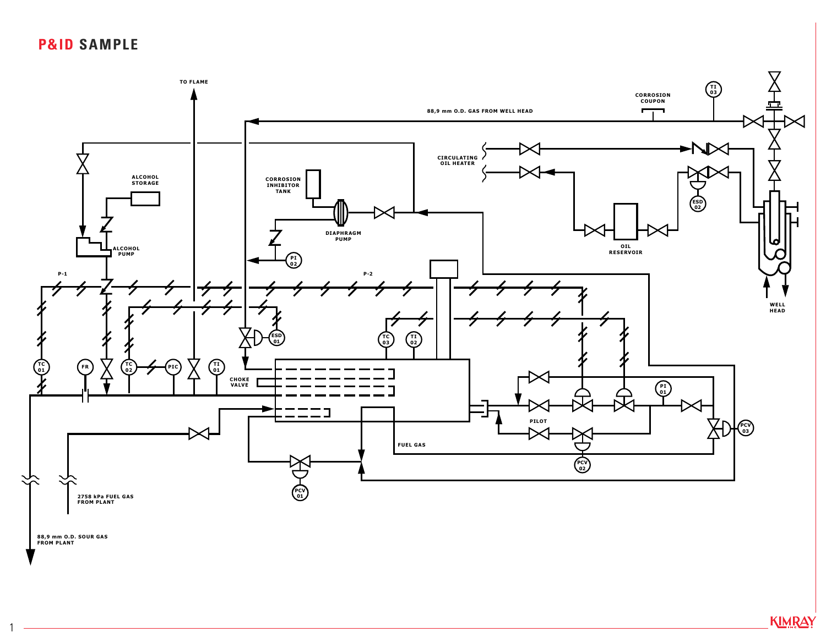#### **P&ID SAMPLE**

1



KIMRAY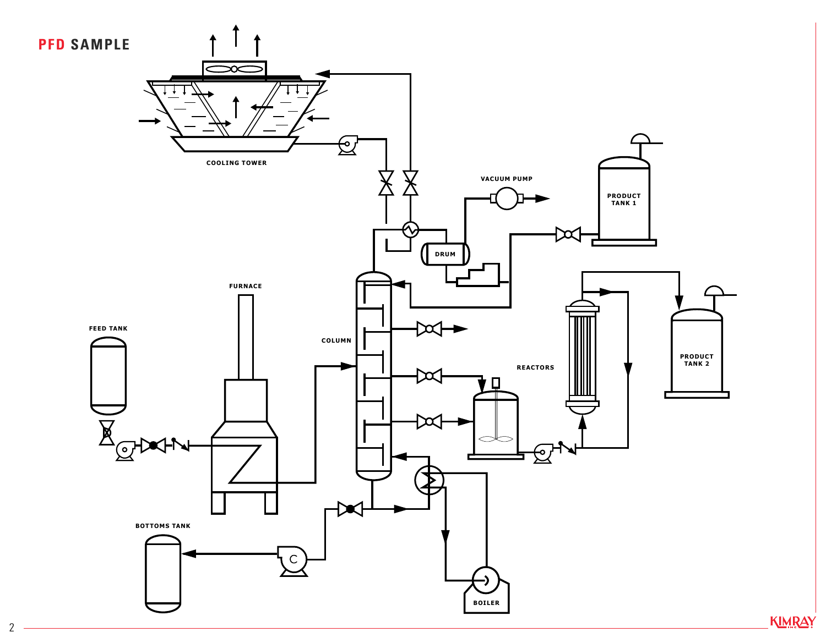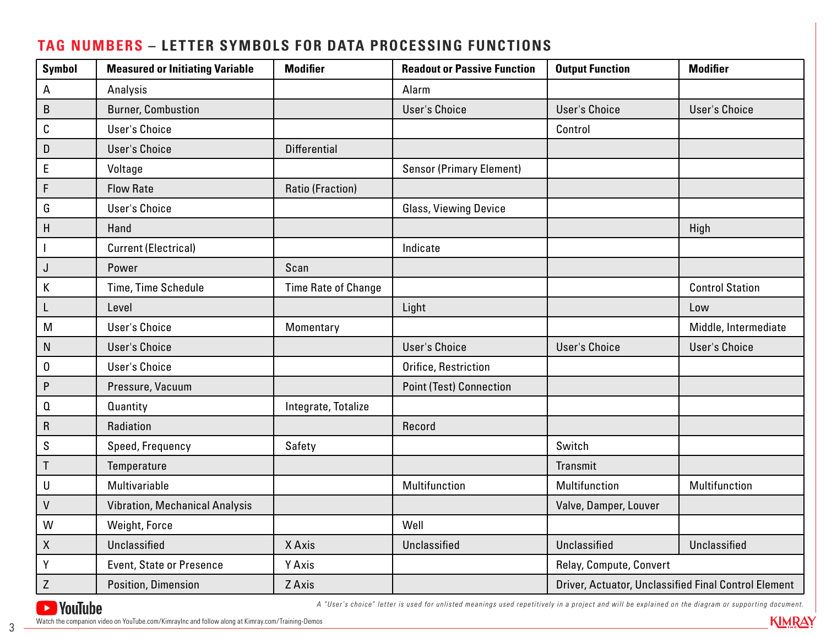## A | Analysis | National Later | Alarm B Burner, Combustion New Little Little Little Little User's Choice New York Little Little Little Little Little User's Choice New York Little Little Little Little Little Little Little Little Little Little Little Little Litt C User's Choice Control D User's Choice **Differential** E Voltage Sensor (Primary Element) F Flow Rate Ratio (Fraction) G Blass, Viewing Device Choice Contracts and Charles Choice Contracts and Charles Choice Contracts and Charles Choice H | Hand | Hand | High | High | High | High | High | High | High | High | High | High I Current (Electrical) Indicate J Power Scan Scan K Time, Time Schedule Time Rate of Change New York Control Station Control Station L | Level | | Light | | Low M | User's Choice | Momentary | Momentary | Middle, Intermediate N User's Choice User's Choice User's Choice User's Choice O Super's Choice **Orifice, Restriction** P Pressure, Vacuum Point (Test) Connection Q auantity and all integrate, Totalize R Radiation Record S Speed, Frequency Safety Safety Suitch T Temperature  $\vert$  Transmit U Multivariable Multifunction Multifunction Multifunction V Vibration, Mechanical Analysis Valve, Damper, Louver Valve, Damper, Louver W | Weight, Force | New York | Well X Unclassified X Axis Unclassified Unclassified Unclassified Y Presence Axis Relay, Compute, Convert Z Position, Dimension | ZAxis | ZAxis | ZAxis | Driver, Actuator, Unclassified Final Control Element Symbol | Measured or Initiating Variable | Modifier | Readout or Passive Function | Output Function | Modifier

#### **TAG NUMBERS – LETTER SYMBOLS FOR DATA PROCESSING FUNCTIONS**



*A "User's choice" letter is used for unlisted meanings used repetitively in a project and will be explained on the diagram or supporting document.*

**KIMRAY** 

3 Watch the companion video on YouTube.com/KimrayInc and follow along at Kimray.com/Training-Demos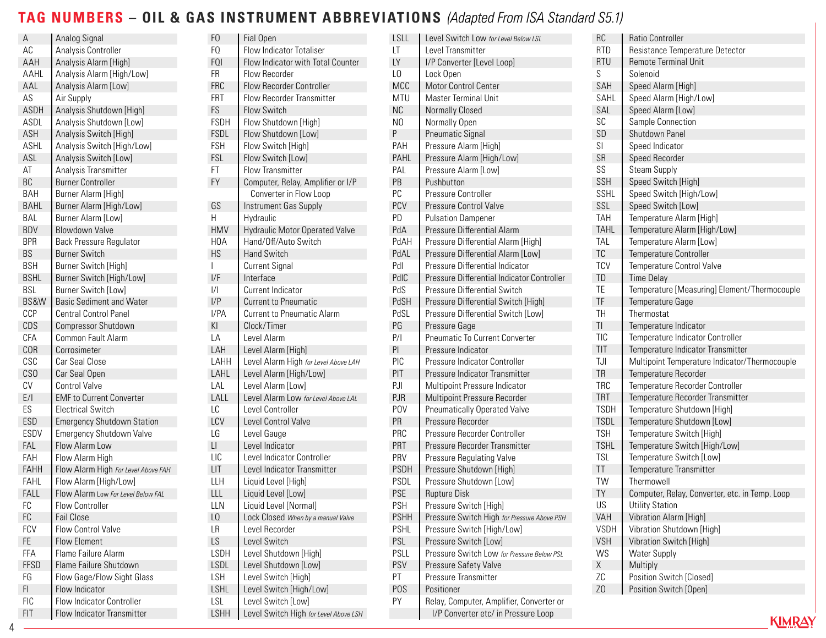# **TAG NUMBERS – OIL & GAS INSTRUMENT ABBREVIATIONS** *(Adapted From ISA Standard S5.1)*

| Α               | Analog Signal                       | F <sub>0</sub>           | Fial Open                             | <b>LSLL</b>    | Level Switch Low for Level Below LSL        | RC                   | <b>Ratio Controller</b>                        |
|-----------------|-------------------------------------|--------------------------|---------------------------------------|----------------|---------------------------------------------|----------------------|------------------------------------------------|
| AC              | Analysis Controller                 | FQ                       | <b>Flow Indicator Totaliser</b>       | LT             | Level Transmitter                           | <b>RTD</b>           | Resistance Temperature Detector                |
| AAH             | Analysis Alarm [High]               | FQI                      | Flow Indicator with Total Counter     | LY             | I/P Converter [Level Loop]                  | <b>RTU</b>           | <b>Remote Terminal Unit</b>                    |
| AAHL            | Analysis Alarm [High/Low]           | FR                       | Flow Recorder                         | L <sub>0</sub> | Lock Open                                   | S                    | Solenoid                                       |
| AAL             | Analysis Alarm [Low]                | FRC                      | <b>Flow Recorder Controller</b>       | <b>MCC</b>     | Motor Control Center                        | SAH                  | Speed Alarm [High]                             |
| AS              | Air Supply                          | FRT                      | Flow Recorder Transmitter             | <b>MTU</b>     | Master Terminal Unit                        | SAHL                 | Speed Alarm [High/Low]                         |
| ASDH            | Analysis Shutdown [High]            | ${\mathsf F}{\mathsf S}$ | Flow Switch                           | <b>NC</b>      | <b>Normally Closed</b>                      | SAL                  | Speed Alarm [Low]                              |
| ASDL            | Analysis Shutdown [Low]             | <b>FSDH</b>              | Flow Shutdown [High]                  | N <sub>0</sub> | Normally Open                               | SC                   | Sample Connection                              |
| ASH             | Analysis Switch [High]              | FSDL                     | Flow Shutdown [Low]                   | P              | <b>Pneumatic Signal</b>                     | SD                   | Shutdown Panel                                 |
| <b>ASHL</b>     | Analysis Switch [High/Low]          | FSH                      | Flow Switch [High]                    | PAH            | Pressure Alarm [High]                       | SI                   | Speed Indicator                                |
| ASL             | Analysis Switch [Low]               | FSL                      | Flow Switch [Low]                     | PAHL           | Pressure Alarm [High/Low]                   | SR                   | Speed Recorder                                 |
| AT              | Analysis Transmitter                | FT                       | Flow Transmitter                      | PAL            | Pressure Alarm [Low]                        | SS                   | <b>Steam Supply</b>                            |
| BC              | <b>Burner Controller</b>            | FY                       | Computer, Relay, Amplifier or I/P     | PB             | Pushbutton                                  | SSH                  | Speed Switch [High]                            |
| <b>BAH</b>      | Burner Alarm [High]                 |                          | Converter in Flow Loop                | $PC$           | Pressure Controller                         | SSHL                 | Speed Switch [High/Low]                        |
| <b>BAHL</b>     | Burner Alarm [High/Low]             | GS                       | Instrument Gas Supply                 | PCV            | Pressure Control Valve                      | SSL                  | Speed Switch [Low]                             |
| <b>BAL</b>      | Burner Alarm [Low]                  | H                        | Hydraulic                             | PD             | <b>Pulsation Dampener</b>                   | <b>TAH</b>           | Temperature Alarm [High]                       |
| <b>BDV</b>      | Blowdown Valve                      | <b>HMV</b>               | <b>Hydraulic Motor Operated Valve</b> | PdA            | Pressure Differential Alarm                 | <b>TAHL</b>          | Temperature Alarm [High/Low]                   |
| <b>BPR</b>      | <b>Back Pressure Regulator</b>      | <b>HOA</b>               | Hand/Off/Auto Switch                  | PdAH           | Pressure Differential Alarm [High]          | <b>TAL</b>           | Temperature Alarm [Low]                        |
| BS              | <b>Burner Switch</b>                | HS                       | <b>Hand Switch</b>                    | PdAL           | Pressure Differential Alarm [Low]           | ${\sf TC}$           | Temperature Controller                         |
| <b>BSH</b>      | <b>Burner Switch [High]</b>         |                          | <b>Current Signal</b>                 | Pdl            | Pressure Differential Indicator             | <b>TCV</b>           | Temperature Control Valve                      |
| <b>BSHL</b>     | Burner Switch [High/Low]            | I/F                      | Interface                             | PdIC           | Pressure Differential Indicator Controller  | TD                   | <b>Time Delay</b>                              |
| <b>BSL</b>      | Burner Switch [Low]                 | $\frac{1}{1}$            | Current Indicator                     | PdS            | Pressure Differential Switch                | TE                   | Temperature [Measuring] Element/Thermocouple   |
| BS&W            | <b>Basic Sediment and Water</b>     | I/P                      | <b>Current to Pneumatic</b>           | PdSH           | Pressure Differential Switch [High]         | TF                   | Temperature Gage                               |
| CCP             | <b>Central Control Panel</b>        | I/PA                     | <b>Current to Pneumatic Alarm</b>     | PdSL           | Pressure Differential Switch [Low]          | TH                   | Thermostat                                     |
| CDS             | Compressor Shutdown                 | KI                       | Clock/Timer                           | PG             | Pressure Gage                               | $\mathsf T\mathsf I$ | Temperature Indicator                          |
| <b>CFA</b>      | Common Fault Alarm                  | LA                       | Level Alarm                           | P/             | Pneumatic To Current Converter              | TIC                  | Temperature Indicator Controller               |
| <b>COR</b>      | Corrosimeter                        | LAH                      | Level Alarm [High]                    | PI             | Pressure Indicator                          | TIT                  | Temperature Indicator Transmitter              |
| CSC             | Car Seal Close                      | LAHH                     | Level Alarm High for Level Above LAH  | PIC            | Pressure Indicator Controller               | TJI                  | Multipoint Temperature Indicator/Thermocouple  |
| CS <sub>0</sub> | Car Seal Open                       | LAHL                     | Level Alarm [High/Low]                | PIT            | Pressure Indicator Transmitter              | TR                   | Temperature Recorder                           |
| CV              | <b>Control Valve</b>                | LAL                      | Level Alarm [Low]                     | PJI            | Multipoint Pressure Indicator               | <b>TRC</b>           | Temperature Recorder Controller                |
| $E/I$           | <b>EMF</b> to Current Converter     | LALL                     | Level Alarm Low for Level Above LAL   | PJR            | Multipoint Pressure Recorder                | <b>TRT</b>           | Temperature Recorder Transmitter               |
| ES              | <b>Electrical Switch</b>            | LC                       | Level Controller                      | <b>POV</b>     | <b>Pneumatically Operated Valve</b>         | <b>TSDH</b>          | Temperature Shutdown [High]                    |
| ESD             | <b>Emergency Shutdown Station</b>   | LCV                      | Level Control Valve                   | PR             | Pressure Recorder                           | <b>TSDL</b>          | Temperature Shutdown [Low]                     |
| <b>ESDV</b>     | Emergency Shutdown Valve            | LG                       | Level Gauge                           | PRC            | Pressure Recorder Controller                | <b>TSH</b>           | Temperature Switch [High]                      |
| FAL             | Flow Alarm Low                      | $\mathsf{L}\mathsf{I}$   | Level Indicator                       | PRT            | Pressure Recorder Transmitter               | <b>TSHL</b>          | Temperature Switch [High/Low]                  |
| FAH             | Flow Alarm High                     | LIC                      | Level Indicator Controller            | PRV            | Pressure Regulating Valve                   | <b>TSL</b>           | Temperature Switch [Low]                       |
| FAHH            | Flow Alarm High For Level Above FAH | LIT                      | Level Indicator Transmitter           | PSDH           | Pressure Shutdown [High]                    | T                    | Temperature Transmitter                        |
| FAHL            | Flow Alarm [High/Low]               | LLH                      | Liquid Level [High]                   | <b>PSDL</b>    | Pressure Shutdown [Low]                     | TW                   | Thermowell                                     |
| FALL            | Flow Alarm Low For Level Below FAL  | LLL                      | Liquid Level [Low]                    | <b>PSE</b>     | <b>Rupture Disk</b>                         | TY                   | Computer, Relay, Converter, etc. in Temp. Loop |
| FC              | Flow Controller                     | LLN                      | Liquid Level [Normal]                 | <b>PSH</b>     | Pressure Switch [High]                      | US                   | <b>Utility Station</b>                         |
| FC              | <b>Fail Close</b>                   | L <sub>0</sub>           | Lock Closed When by a manual Valve    | <b>PSHH</b>    | Pressure Switch High for Pressure Above PSH | VAH                  | Vibration Alarm [High]                         |
| <b>FCV</b>      | Flow Control Valve                  | LR                       | Level Recorder                        | <b>PSHL</b>    | Pressure Switch [High/Low]                  | <b>VSDH</b>          | Vibration Shutdown [High]                      |
| FE              | <b>Flow Element</b>                 | LS                       | Level Switch                          | PSL            | Pressure Switch [Low]                       | <b>VSH</b>           | Vibration Switch [High]                        |
| FFA             | Flame Failure Alarm                 | LSDH                     | Level Shutdown [High]                 | PSLL           | Pressure Switch Low for Pressure Below PSL  | WS                   | <b>Water Supply</b>                            |
| <b>FFSD</b>     | Flame Failure Shutdown              | LSDL                     | Level Shutdown [Low]                  | PSV            | Pressure Safety Valve                       | X                    | Multiply                                       |
| FG              | Flow Gage/Flow Sight Glass          | LSH                      | Level Switch [High]                   | PT             | Pressure Transmitter                        | ${\sf ZC}$           | Position Switch [Closed]                       |
| FI.             | Flow Indicator                      | LSHL                     | Level Switch [High/Low]               | POS            | Positioner                                  | Z <sub>0</sub>       | Position Switch [Open]                         |
| <b>FIC</b>      | Flow Indicator Controller           | LSL                      | Level Switch [Low]                    | PY             | Relay, Computer, Amplifier, Converter or    |                      |                                                |
| FIT             | Flow Indicator Transmitter          | LSHH                     | Level Switch High for Level Above LSH |                | I/P Converter etc/ in Pressure Loop         |                      |                                                |
|                 |                                     |                          |                                       |                |                                             |                      | <b>KIMRAY</b>                                  |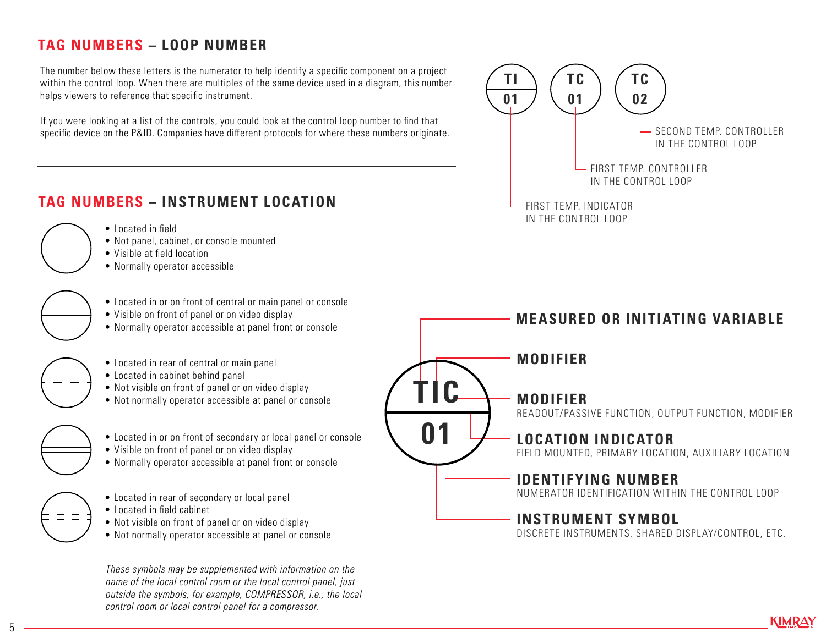## **TAG NUMBERS – LOOP NUMBER**

The number below these letters is the numerator to help identify a specific component on a project within the control loop. When there are multiples of the same device used in a diagram, this number helps viewers to reference that specific instrument.

If you were looking at a list of the controls, you could look at the control loop number to find that specific device on the P&ID. Companies have different protocols for where these numbers originate.



**KIMRAY** 

#### **TAG NUMBERS – INSTRUMENT LOCATION**

- Located in field
- Not panel, cabinet, or console mounted
- Visible at field location
- Normally operator accessible

• Located in or on front of central or main panel or console

- Visible on front of panel or on video display
- Normally operator accessible at panel front or console
- Located in rear of central or main panel
- Located in cabinet behind panel
- Not visible on front of panel or on video display
- Not normally operator accessible at panel or console
- Located in or on front of secondary or local panel or console
- Visible on front of panel or on video display
- Normally operator accessible at panel front or console
- 
- Located in rear of secondary or local panel
- Located in field cabinet
- Not visible on front of panel or on video display
- Not normally operator accessible at panel or console

*These symbols may be supplemented with information on the name of the local control room or the local control panel, just outside the symbols, for example, COMPRESSOR, i.e., the local control room or local control panel for a compressor.*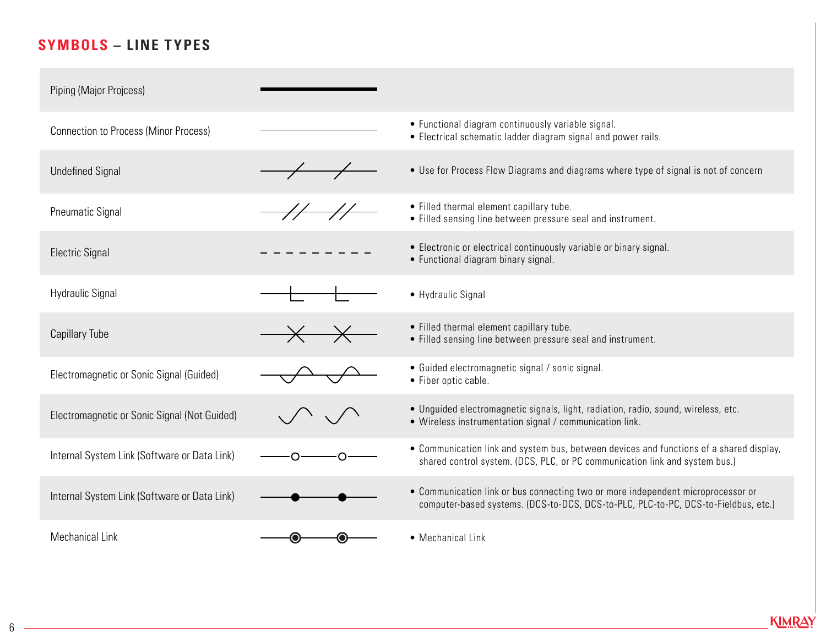## **SYMBOLS – LINE TYPES**

| Piping (Major Projcess)                      |                                 |                                                                                                                                                                        |
|----------------------------------------------|---------------------------------|------------------------------------------------------------------------------------------------------------------------------------------------------------------------|
| <b>Connection to Process (Minor Process)</b> |                                 | • Functional diagram continuously variable signal.<br>• Electrical schematic ladder diagram signal and power rails.                                                    |
| <b>Undefined Signal</b>                      |                                 | • Use for Process Flow Diagrams and diagrams where type of signal is not of concern                                                                                    |
| <b>Pneumatic Signal</b>                      |                                 | • Filled thermal element capillary tube.<br>• Filled sensing line between pressure seal and instrument.                                                                |
| <b>Electric Signal</b>                       |                                 | • Electronic or electrical continuously variable or binary signal.<br>• Functional diagram binary signal.                                                              |
| <b>Hydraulic Signal</b>                      |                                 | • Hydraulic Signal                                                                                                                                                     |
| <b>Capillary Tube</b>                        | $\times \hspace{-.07cm} \times$ | • Filled thermal element capillary tube.<br>• Filled sensing line between pressure seal and instrument.                                                                |
| Electromagnetic or Sonic Signal (Guided)     |                                 | • Guided electromagnetic signal / sonic signal.<br>• Fiber optic cable.                                                                                                |
| Electromagnetic or Sonic Signal (Not Guided) |                                 | • Unguided electromagnetic signals, light, radiation, radio, sound, wireless, etc.<br>• Wireless instrumentation signal / communication link.                          |
| Internal System Link (Software or Data Link) |                                 | • Communication link and system bus, between devices and functions of a shared display,<br>shared control system. (DCS, PLC, or PC communication link and system bus.) |
| Internal System Link (Software or Data Link) |                                 | • Communication link or bus connecting two or more independent microprocessor or<br>computer-based systems. (DCS-to-DCS, DCS-to-PLC, PLC-to-PC, DCS-to-Fieldbus, etc.) |
| <b>Mechanical Link</b>                       |                                 | • Mechanical Link                                                                                                                                                      |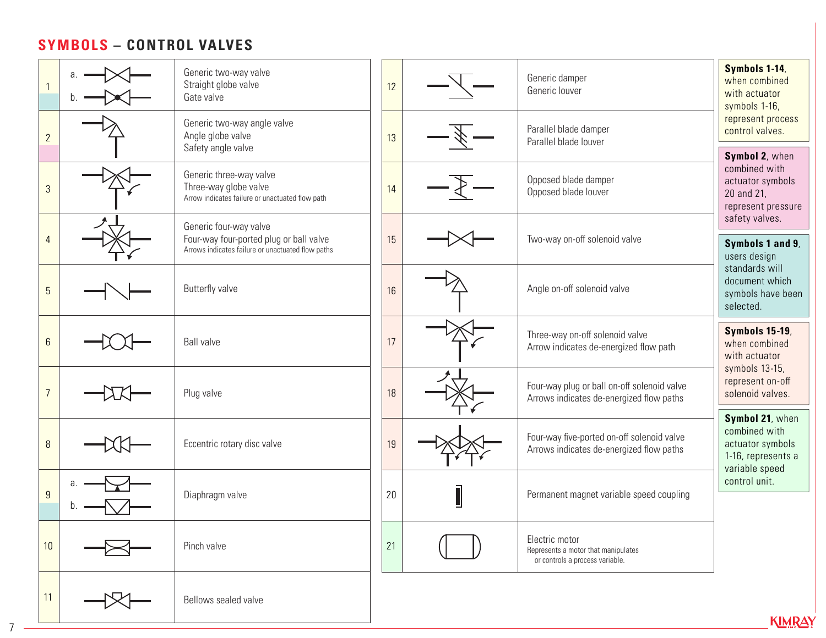#### **SYMBOLS – CONTROL VALVES**

|                |   | Generic two-way valve<br>Straight globe valve<br>Gate valve                                                            |    | 12 | Generic damper<br>Generic louver                                                         | Symbols 1-14,<br>when combined<br>with actuator<br>symbols 1-16,                        |  |
|----------------|---|------------------------------------------------------------------------------------------------------------------------|----|----|------------------------------------------------------------------------------------------|-----------------------------------------------------------------------------------------|--|
| $\overline{2}$ |   | Generic two-way angle valve<br>Angle globe valve<br>Safety angle valve                                                 |    | 13 | Parallel blade damper<br>Parallel blade louver                                           | represent process<br>control valves.                                                    |  |
| $\overline{3}$ |   | Generic three-way valve<br>Three-way globe valve<br>Arrow indicates failure or unactuated flow path                    |    | 14 | Opposed blade damper<br>Opposed blade louver                                             | Symbol 2, when<br>combined with<br>actuator symbols<br>20 and 21,<br>represent pressure |  |
| $\overline{4}$ |   | Generic four-way valve<br>Four-way four-ported plug or ball valve<br>Arrows indicates failure or unactuated flow paths | 15 |    | Two-way on-off solenoid valve                                                            | safety valves.<br>Symbols 1 and 9,<br>users design                                      |  |
| $\overline{5}$ |   | Butterfly valve                                                                                                        | 16 |    | Angle on-off solenoid valve                                                              | standards will<br>document which<br>symbols have been<br>selected.                      |  |
| $6\phantom{.}$ |   | <b>Ball valve</b>                                                                                                      | 17 |    | Three-way on-off solenoid valve<br>Arrow indicates de-energized flow path                | <b>Symbols 15-19,</b><br>when combined<br>with actuator<br>symbols 13-15,               |  |
| $\overline{7}$ |   | Plug valve                                                                                                             | 18 |    | Four-way plug or ball on-off solenoid valve<br>Arrows indicates de-energized flow paths  | represent on-off<br>solenoid valves.                                                    |  |
| $\, 8$         |   | Eccentric rotary disc valve                                                                                            | 19 |    | Four-way five-ported on-off solenoid valve<br>Arrows indicates de-energized flow paths   | Symbol 21, when<br>combined with<br>actuator symbols<br>1-16, represents a              |  |
| $\overline{9}$ | a | Diaphragm valve                                                                                                        | 20 | Į  | Permanent magnet variable speed coupling                                                 | variable speed<br>control unit.                                                         |  |
| 10             |   | Pinch valve                                                                                                            | 21 |    | Electric motor<br>Represents a motor that manipulates<br>or controls a process variable. |                                                                                         |  |
| 11             |   | Bellows sealed valve                                                                                                   |    |    |                                                                                          | <b>KIMRAY</b>                                                                           |  |

7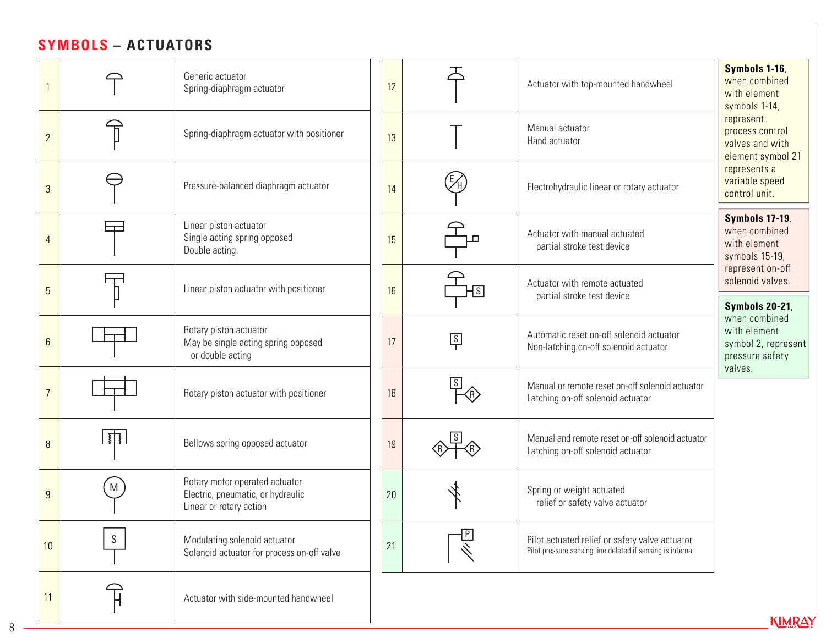#### **SYMBOLS – ACTUATORS**

|                |               | Generic actuator<br>Spring-diaphragm actuator<br>Spring-diaphragm actuator with positioner     |    |                         | Actuator with top-mounted handwheel                                                                          | Symbols 1-16,<br>when combined<br>with element<br>symbols 1-14,                    |  |
|----------------|---------------|------------------------------------------------------------------------------------------------|----|-------------------------|--------------------------------------------------------------------------------------------------------------|------------------------------------------------------------------------------------|--|
| $\overline{2}$ |               |                                                                                                |    |                         | Manual actuator<br>Hand actuator                                                                             | represent<br>process control<br>valves and with<br>element symbol 21               |  |
| $\mathfrak{S}$ |               | Pressure-balanced diaphragm actuator                                                           | 14 |                         | Electrohydraulic linear or rotary actuator                                                                   | represents a<br>variable speed<br>control unit.                                    |  |
| 4              |               | Linear piston actuator<br>Single acting spring opposed<br>Double acting.                       | 15 |                         | Actuator with manual actuated<br>partial stroke test device                                                  | <b>Symbols 17-19,</b><br>when combined<br>with element<br>symbols 15-19,           |  |
| 5              |               | Linear piston actuator with positioner                                                         | 16 | $\overline{\mathsf{S}}$ | Actuator with remote actuated<br>partial stroke test device                                                  | represent on-off<br>solenoid valves.<br><b>Symbols 20-21,</b>                      |  |
| $6\phantom{.}$ |               | Rotary piston actuator<br>May be single acting spring opposed<br>or double acting              |    | $\frac{s}{1}$           | Automatic reset on-off solenoid actuator<br>Non-latching on-off solenoid actuator                            | when combined<br>with element<br>symbol 2, represent<br>pressure safety<br>valves. |  |
| $\overline{7}$ |               | Rotary piston actuator with positioner                                                         | 18 |                         | Manual or remote reset on-off solenoid actuator<br>Latching on-off solenoid actuator                         |                                                                                    |  |
| 8              | <u>हो</u>     | Bellows spring opposed actuator                                                                | 19 |                         | Manual and remote reset on-off solenoid actuator<br>Latching on-off solenoid actuator                        |                                                                                    |  |
| $\overline{9}$ | M             | Rotary motor operated actuator<br>Electric, pneumatic, or hydraulic<br>Linear or rotary action | 20 |                         | Spring or weight actuated<br>relief or safety valve actuator                                                 |                                                                                    |  |
| 10             | ${\mathsf S}$ | Modulating solenoid actuator<br>Solenoid actuator for process on-off valve                     | 21 |                         | Pilot actuated relief or safety valve actuator<br>Pilot pressure sensing line deleted if sensing is internal |                                                                                    |  |
| 11             |               | Actuator with side-mounted handwheel                                                           |    |                         |                                                                                                              | KIMRAY                                                                             |  |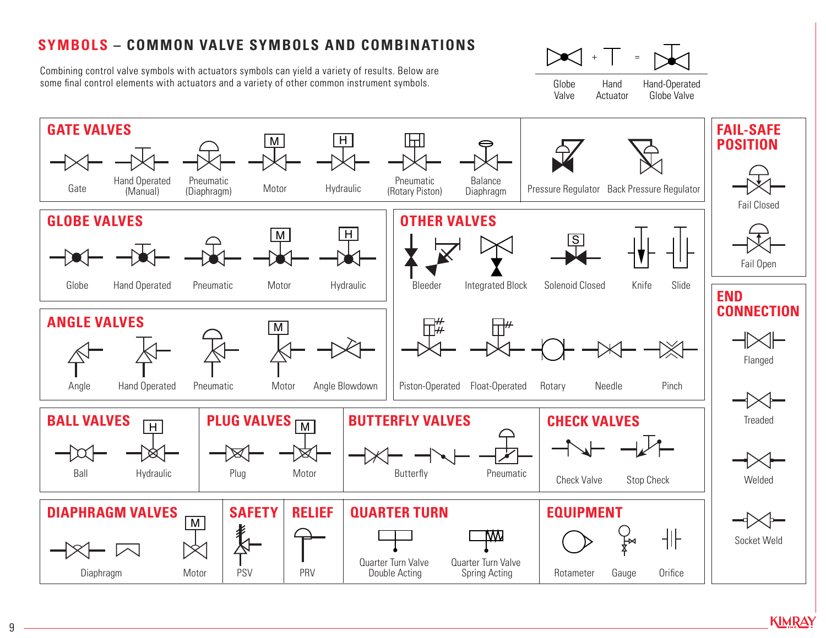### **SYMBOLS – COMMON VALVE SYMBOLS AND COMBINATIONS**

Combining control valve symbols with actuators symbols can yield a variety of results. Below are some final control elements with actuators and a variety of other common instrument symbols.



Globe Valve Hand Actuator Hand-Operated Globe Valve



9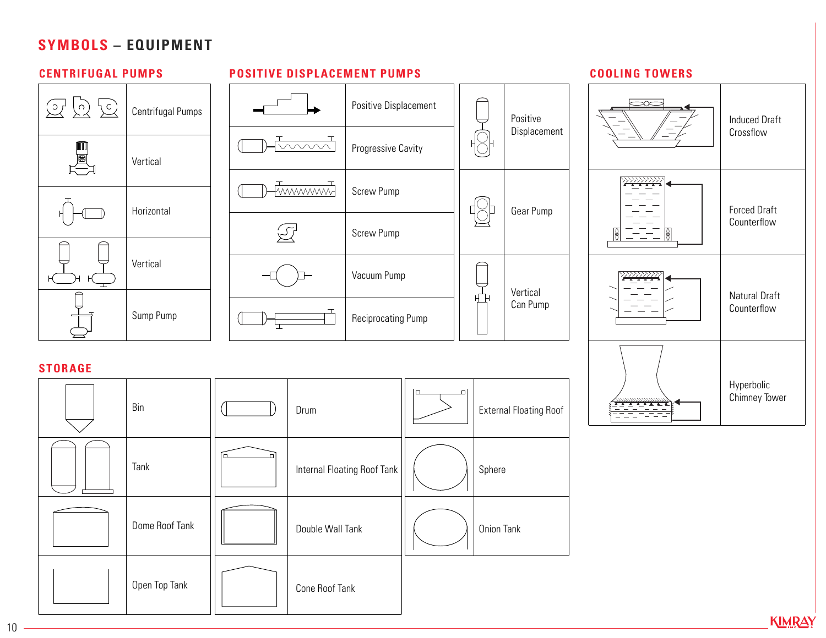#### **SYMBOLS – EQUIPMENT**



**KIMRAY** 

10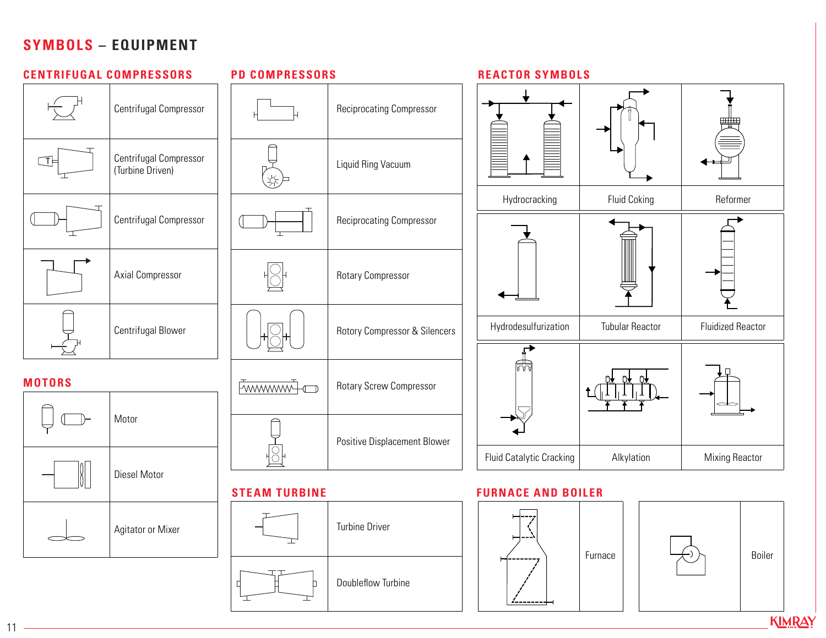#### **SYMBOLS – EQUIPMENT**



 $11 -$ 

**KIMRAY**